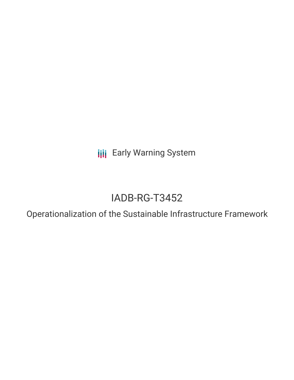**III** Early Warning System

# IADB-RG-T3452

Operationalization of the Sustainable Infrastructure Framework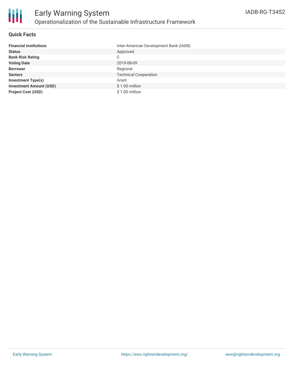

#### **Quick Facts**

| <b>Financial Institutions</b>  | Inter-American Development Bank (IADB) |
|--------------------------------|----------------------------------------|
| <b>Status</b>                  | Approved                               |
| <b>Bank Risk Rating</b>        | C                                      |
| <b>Voting Date</b>             | 2019-08-09                             |
| <b>Borrower</b>                | Regional                               |
| <b>Sectors</b>                 | <b>Technical Cooperation</b>           |
| <b>Investment Type(s)</b>      | Grant                                  |
| <b>Investment Amount (USD)</b> | $$1.00$ million                        |
| <b>Project Cost (USD)</b>      | $$1.00$ million                        |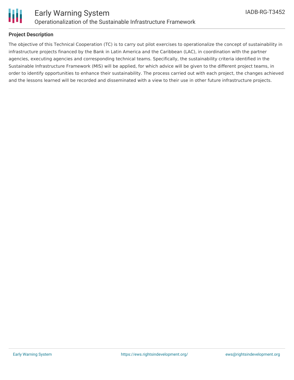

#### **Project Description**

The objective of this Technical Cooperation (TC) is to carry out pilot exercises to operationalize the concept of sustainability in infrastructure projects financed by the Bank in Latin America and the Caribbean (LAC), in coordination with the partner agencies, executing agencies and corresponding technical teams. Specifically, the sustainability criteria identified in the Sustainable Infrastructure Framework (MIS) will be applied, for which advice will be given to the different project teams, in order to identify opportunities to enhance their sustainability. The process carried out with each project, the changes achieved and the lessons learned will be recorded and disseminated with a view to their use in other future infrastructure projects.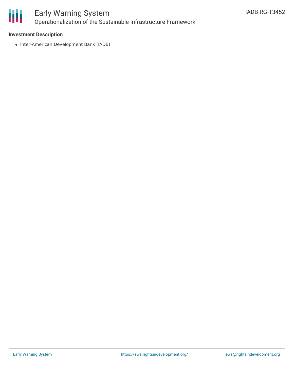

## Early Warning System Operationalization of the Sustainable Infrastructure Framework

#### **Investment Description**

• Inter-American Development Bank (IADB)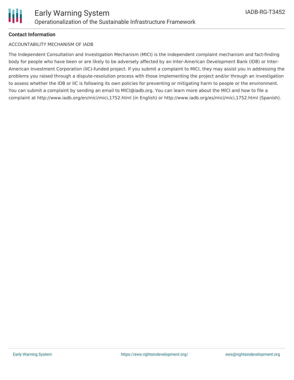### **Contact Information**

#### ACCOUNTABILITY MECHANISM OF IADB

The Independent Consultation and Investigation Mechanism (MICI) is the independent complaint mechanism and fact-finding body for people who have been or are likely to be adversely affected by an Inter-American Development Bank (IDB) or Inter-American Investment Corporation (IIC)-funded project. If you submit a complaint to MICI, they may assist you in addressing the problems you raised through a dispute-resolution process with those implementing the project and/or through an investigation to assess whether the IDB or IIC is following its own policies for preventing or mitigating harm to people or the environment. You can submit a complaint by sending an email to MICI@iadb.org. You can learn more about the MICI and how to file a complaint at http://www.iadb.org/en/mici/mici,1752.html (in English) or http://www.iadb.org/es/mici/mici,1752.html (Spanish).